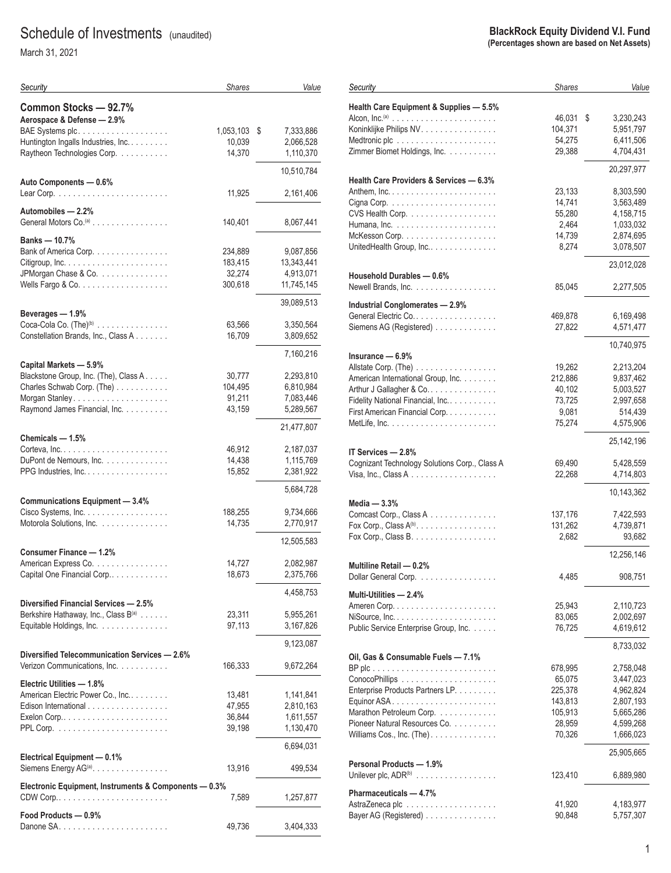# Schedule of Investments (unaudited)

March 31, 2021

| Common Stocks - 92.7%<br>Aerospace & Defense - 2.9%<br>BAE Systems plc.<br>1,053,103<br>7,333,886<br>\$<br>Huntington Ingalls Industries, Inc.<br>10,039<br>2,066,528<br>Raytheon Technologies Corp.<br>14,370<br>1,110,370<br>10,510,784<br>Auto Components - 0.6%<br>11,925<br>2,161,406<br>Automobiles - 2.2%<br>General Motors Co. <sup>(a)</sup><br>140,401<br>8,067,441<br>Banks - 10.7%<br>Bank of America Corp.<br>234,889<br>9,087,856<br>183,415<br>13,343,441<br>JPMorgan Chase & Co.<br>32,274<br>4,913,071<br>11,745,145<br>300,618<br>39,089,513<br>Beverages - 1.9%<br>Coca-Cola Co. (The) <sup>(b)</sup><br>63,566<br>3,350,564<br>Constellation Brands, Inc., Class A<br>16,709<br>3,809,652<br>7,160,216<br>Capital Markets - 5.9%<br>Blackstone Group, Inc. (The), Class A.<br>30,777<br>2,293,810<br>Charles Schwab Corp. (The)<br>104,495<br>6,810,984<br>91,211<br>7,083,446<br>Raymond James Financial, Inc.<br>43,159<br>5,289,567<br>21,477,807<br>Chemicals - 1.5%<br>Corteva, Inc.<br>46,912<br>2,187,037<br>.<br>DuPont de Nemours, Inc.<br>14,438<br>1,115,769<br>2,381,922<br>PPG Industries, $Inc. \ldots$<br>15,852<br>5,684,728<br><b>Communications Equipment - 3.4%</b><br>Cisco Systems, Inc.<br>188,255<br>9,734,666<br>Motorola Solutions, Inc.<br>14,735<br>2,770,917<br>12,505,583<br>Consumer Finance - 1.2%<br>American Express Co.<br>14,727<br>2,082,987<br>Capital One Financial Corp<br>18,673<br>2,375,766<br>4,458,753<br>Diversified Financial Services - 2.5%<br>Berkshire Hathaway, Inc., Class B(a)<br>23,311<br>5,955,261<br>Equitable Holdings, Inc.<br>97,113<br>3,167,826<br>9,123,087<br>Diversified Telecommunication Services - 2.6%<br>Verizon Communications, Inc.<br>166,333<br>9,672,264<br>Electric Utilities - 1.8%<br>American Electric Power Co., Inc<br>13,481<br>1,141,841<br>Edison International<br>47,955<br>2,810,163<br>36,844<br>1,611,557<br>39,198<br>1,130,470<br>6,694,031<br>Electrical Equipment - 0.1%<br>Siemens Energy AG <sup>(a)</sup> .<br>13,916<br>499,534<br>Electronic Equipment, Instruments & Components - 0.3%<br>7,589<br>1,257,877<br>Food Products - 0.9%<br>49,736<br>3,404,333 | Security | <b>Shares</b> | Value |
|-----------------------------------------------------------------------------------------------------------------------------------------------------------------------------------------------------------------------------------------------------------------------------------------------------------------------------------------------------------------------------------------------------------------------------------------------------------------------------------------------------------------------------------------------------------------------------------------------------------------------------------------------------------------------------------------------------------------------------------------------------------------------------------------------------------------------------------------------------------------------------------------------------------------------------------------------------------------------------------------------------------------------------------------------------------------------------------------------------------------------------------------------------------------------------------------------------------------------------------------------------------------------------------------------------------------------------------------------------------------------------------------------------------------------------------------------------------------------------------------------------------------------------------------------------------------------------------------------------------------------------------------------------------------------------------------------------------------------------------------------------------------------------------------------------------------------------------------------------------------------------------------------------------------------------------------------------------------------------------------------------------------------------------------------------------------------------------------------------------------------------------------------------------------------------------|----------|---------------|-------|
|                                                                                                                                                                                                                                                                                                                                                                                                                                                                                                                                                                                                                                                                                                                                                                                                                                                                                                                                                                                                                                                                                                                                                                                                                                                                                                                                                                                                                                                                                                                                                                                                                                                                                                                                                                                                                                                                                                                                                                                                                                                                                                                                                                                   |          |               |       |
|                                                                                                                                                                                                                                                                                                                                                                                                                                                                                                                                                                                                                                                                                                                                                                                                                                                                                                                                                                                                                                                                                                                                                                                                                                                                                                                                                                                                                                                                                                                                                                                                                                                                                                                                                                                                                                                                                                                                                                                                                                                                                                                                                                                   |          |               |       |
|                                                                                                                                                                                                                                                                                                                                                                                                                                                                                                                                                                                                                                                                                                                                                                                                                                                                                                                                                                                                                                                                                                                                                                                                                                                                                                                                                                                                                                                                                                                                                                                                                                                                                                                                                                                                                                                                                                                                                                                                                                                                                                                                                                                   |          |               |       |
|                                                                                                                                                                                                                                                                                                                                                                                                                                                                                                                                                                                                                                                                                                                                                                                                                                                                                                                                                                                                                                                                                                                                                                                                                                                                                                                                                                                                                                                                                                                                                                                                                                                                                                                                                                                                                                                                                                                                                                                                                                                                                                                                                                                   |          |               |       |
|                                                                                                                                                                                                                                                                                                                                                                                                                                                                                                                                                                                                                                                                                                                                                                                                                                                                                                                                                                                                                                                                                                                                                                                                                                                                                                                                                                                                                                                                                                                                                                                                                                                                                                                                                                                                                                                                                                                                                                                                                                                                                                                                                                                   |          |               |       |
|                                                                                                                                                                                                                                                                                                                                                                                                                                                                                                                                                                                                                                                                                                                                                                                                                                                                                                                                                                                                                                                                                                                                                                                                                                                                                                                                                                                                                                                                                                                                                                                                                                                                                                                                                                                                                                                                                                                                                                                                                                                                                                                                                                                   |          |               |       |
|                                                                                                                                                                                                                                                                                                                                                                                                                                                                                                                                                                                                                                                                                                                                                                                                                                                                                                                                                                                                                                                                                                                                                                                                                                                                                                                                                                                                                                                                                                                                                                                                                                                                                                                                                                                                                                                                                                                                                                                                                                                                                                                                                                                   |          |               |       |
|                                                                                                                                                                                                                                                                                                                                                                                                                                                                                                                                                                                                                                                                                                                                                                                                                                                                                                                                                                                                                                                                                                                                                                                                                                                                                                                                                                                                                                                                                                                                                                                                                                                                                                                                                                                                                                                                                                                                                                                                                                                                                                                                                                                   |          |               |       |
|                                                                                                                                                                                                                                                                                                                                                                                                                                                                                                                                                                                                                                                                                                                                                                                                                                                                                                                                                                                                                                                                                                                                                                                                                                                                                                                                                                                                                                                                                                                                                                                                                                                                                                                                                                                                                                                                                                                                                                                                                                                                                                                                                                                   |          |               |       |
|                                                                                                                                                                                                                                                                                                                                                                                                                                                                                                                                                                                                                                                                                                                                                                                                                                                                                                                                                                                                                                                                                                                                                                                                                                                                                                                                                                                                                                                                                                                                                                                                                                                                                                                                                                                                                                                                                                                                                                                                                                                                                                                                                                                   |          |               |       |
|                                                                                                                                                                                                                                                                                                                                                                                                                                                                                                                                                                                                                                                                                                                                                                                                                                                                                                                                                                                                                                                                                                                                                                                                                                                                                                                                                                                                                                                                                                                                                                                                                                                                                                                                                                                                                                                                                                                                                                                                                                                                                                                                                                                   |          |               |       |
|                                                                                                                                                                                                                                                                                                                                                                                                                                                                                                                                                                                                                                                                                                                                                                                                                                                                                                                                                                                                                                                                                                                                                                                                                                                                                                                                                                                                                                                                                                                                                                                                                                                                                                                                                                                                                                                                                                                                                                                                                                                                                                                                                                                   |          |               |       |
|                                                                                                                                                                                                                                                                                                                                                                                                                                                                                                                                                                                                                                                                                                                                                                                                                                                                                                                                                                                                                                                                                                                                                                                                                                                                                                                                                                                                                                                                                                                                                                                                                                                                                                                                                                                                                                                                                                                                                                                                                                                                                                                                                                                   |          |               |       |
|                                                                                                                                                                                                                                                                                                                                                                                                                                                                                                                                                                                                                                                                                                                                                                                                                                                                                                                                                                                                                                                                                                                                                                                                                                                                                                                                                                                                                                                                                                                                                                                                                                                                                                                                                                                                                                                                                                                                                                                                                                                                                                                                                                                   |          |               |       |
|                                                                                                                                                                                                                                                                                                                                                                                                                                                                                                                                                                                                                                                                                                                                                                                                                                                                                                                                                                                                                                                                                                                                                                                                                                                                                                                                                                                                                                                                                                                                                                                                                                                                                                                                                                                                                                                                                                                                                                                                                                                                                                                                                                                   |          |               |       |
|                                                                                                                                                                                                                                                                                                                                                                                                                                                                                                                                                                                                                                                                                                                                                                                                                                                                                                                                                                                                                                                                                                                                                                                                                                                                                                                                                                                                                                                                                                                                                                                                                                                                                                                                                                                                                                                                                                                                                                                                                                                                                                                                                                                   |          |               |       |
|                                                                                                                                                                                                                                                                                                                                                                                                                                                                                                                                                                                                                                                                                                                                                                                                                                                                                                                                                                                                                                                                                                                                                                                                                                                                                                                                                                                                                                                                                                                                                                                                                                                                                                                                                                                                                                                                                                                                                                                                                                                                                                                                                                                   |          |               |       |
|                                                                                                                                                                                                                                                                                                                                                                                                                                                                                                                                                                                                                                                                                                                                                                                                                                                                                                                                                                                                                                                                                                                                                                                                                                                                                                                                                                                                                                                                                                                                                                                                                                                                                                                                                                                                                                                                                                                                                                                                                                                                                                                                                                                   |          |               |       |
|                                                                                                                                                                                                                                                                                                                                                                                                                                                                                                                                                                                                                                                                                                                                                                                                                                                                                                                                                                                                                                                                                                                                                                                                                                                                                                                                                                                                                                                                                                                                                                                                                                                                                                                                                                                                                                                                                                                                                                                                                                                                                                                                                                                   |          |               |       |
|                                                                                                                                                                                                                                                                                                                                                                                                                                                                                                                                                                                                                                                                                                                                                                                                                                                                                                                                                                                                                                                                                                                                                                                                                                                                                                                                                                                                                                                                                                                                                                                                                                                                                                                                                                                                                                                                                                                                                                                                                                                                                                                                                                                   |          |               |       |
|                                                                                                                                                                                                                                                                                                                                                                                                                                                                                                                                                                                                                                                                                                                                                                                                                                                                                                                                                                                                                                                                                                                                                                                                                                                                                                                                                                                                                                                                                                                                                                                                                                                                                                                                                                                                                                                                                                                                                                                                                                                                                                                                                                                   |          |               |       |
|                                                                                                                                                                                                                                                                                                                                                                                                                                                                                                                                                                                                                                                                                                                                                                                                                                                                                                                                                                                                                                                                                                                                                                                                                                                                                                                                                                                                                                                                                                                                                                                                                                                                                                                                                                                                                                                                                                                                                                                                                                                                                                                                                                                   |          |               |       |
|                                                                                                                                                                                                                                                                                                                                                                                                                                                                                                                                                                                                                                                                                                                                                                                                                                                                                                                                                                                                                                                                                                                                                                                                                                                                                                                                                                                                                                                                                                                                                                                                                                                                                                                                                                                                                                                                                                                                                                                                                                                                                                                                                                                   |          |               |       |
|                                                                                                                                                                                                                                                                                                                                                                                                                                                                                                                                                                                                                                                                                                                                                                                                                                                                                                                                                                                                                                                                                                                                                                                                                                                                                                                                                                                                                                                                                                                                                                                                                                                                                                                                                                                                                                                                                                                                                                                                                                                                                                                                                                                   |          |               |       |
|                                                                                                                                                                                                                                                                                                                                                                                                                                                                                                                                                                                                                                                                                                                                                                                                                                                                                                                                                                                                                                                                                                                                                                                                                                                                                                                                                                                                                                                                                                                                                                                                                                                                                                                                                                                                                                                                                                                                                                                                                                                                                                                                                                                   |          |               |       |
|                                                                                                                                                                                                                                                                                                                                                                                                                                                                                                                                                                                                                                                                                                                                                                                                                                                                                                                                                                                                                                                                                                                                                                                                                                                                                                                                                                                                                                                                                                                                                                                                                                                                                                                                                                                                                                                                                                                                                                                                                                                                                                                                                                                   |          |               |       |
|                                                                                                                                                                                                                                                                                                                                                                                                                                                                                                                                                                                                                                                                                                                                                                                                                                                                                                                                                                                                                                                                                                                                                                                                                                                                                                                                                                                                                                                                                                                                                                                                                                                                                                                                                                                                                                                                                                                                                                                                                                                                                                                                                                                   |          |               |       |
|                                                                                                                                                                                                                                                                                                                                                                                                                                                                                                                                                                                                                                                                                                                                                                                                                                                                                                                                                                                                                                                                                                                                                                                                                                                                                                                                                                                                                                                                                                                                                                                                                                                                                                                                                                                                                                                                                                                                                                                                                                                                                                                                                                                   |          |               |       |
|                                                                                                                                                                                                                                                                                                                                                                                                                                                                                                                                                                                                                                                                                                                                                                                                                                                                                                                                                                                                                                                                                                                                                                                                                                                                                                                                                                                                                                                                                                                                                                                                                                                                                                                                                                                                                                                                                                                                                                                                                                                                                                                                                                                   |          |               |       |
|                                                                                                                                                                                                                                                                                                                                                                                                                                                                                                                                                                                                                                                                                                                                                                                                                                                                                                                                                                                                                                                                                                                                                                                                                                                                                                                                                                                                                                                                                                                                                                                                                                                                                                                                                                                                                                                                                                                                                                                                                                                                                                                                                                                   |          |               |       |
|                                                                                                                                                                                                                                                                                                                                                                                                                                                                                                                                                                                                                                                                                                                                                                                                                                                                                                                                                                                                                                                                                                                                                                                                                                                                                                                                                                                                                                                                                                                                                                                                                                                                                                                                                                                                                                                                                                                                                                                                                                                                                                                                                                                   |          |               |       |
|                                                                                                                                                                                                                                                                                                                                                                                                                                                                                                                                                                                                                                                                                                                                                                                                                                                                                                                                                                                                                                                                                                                                                                                                                                                                                                                                                                                                                                                                                                                                                                                                                                                                                                                                                                                                                                                                                                                                                                                                                                                                                                                                                                                   |          |               |       |
|                                                                                                                                                                                                                                                                                                                                                                                                                                                                                                                                                                                                                                                                                                                                                                                                                                                                                                                                                                                                                                                                                                                                                                                                                                                                                                                                                                                                                                                                                                                                                                                                                                                                                                                                                                                                                                                                                                                                                                                                                                                                                                                                                                                   |          |               |       |
|                                                                                                                                                                                                                                                                                                                                                                                                                                                                                                                                                                                                                                                                                                                                                                                                                                                                                                                                                                                                                                                                                                                                                                                                                                                                                                                                                                                                                                                                                                                                                                                                                                                                                                                                                                                                                                                                                                                                                                                                                                                                                                                                                                                   |          |               |       |
|                                                                                                                                                                                                                                                                                                                                                                                                                                                                                                                                                                                                                                                                                                                                                                                                                                                                                                                                                                                                                                                                                                                                                                                                                                                                                                                                                                                                                                                                                                                                                                                                                                                                                                                                                                                                                                                                                                                                                                                                                                                                                                                                                                                   |          |               |       |
|                                                                                                                                                                                                                                                                                                                                                                                                                                                                                                                                                                                                                                                                                                                                                                                                                                                                                                                                                                                                                                                                                                                                                                                                                                                                                                                                                                                                                                                                                                                                                                                                                                                                                                                                                                                                                                                                                                                                                                                                                                                                                                                                                                                   |          |               |       |
|                                                                                                                                                                                                                                                                                                                                                                                                                                                                                                                                                                                                                                                                                                                                                                                                                                                                                                                                                                                                                                                                                                                                                                                                                                                                                                                                                                                                                                                                                                                                                                                                                                                                                                                                                                                                                                                                                                                                                                                                                                                                                                                                                                                   |          |               |       |
|                                                                                                                                                                                                                                                                                                                                                                                                                                                                                                                                                                                                                                                                                                                                                                                                                                                                                                                                                                                                                                                                                                                                                                                                                                                                                                                                                                                                                                                                                                                                                                                                                                                                                                                                                                                                                                                                                                                                                                                                                                                                                                                                                                                   |          |               |       |
|                                                                                                                                                                                                                                                                                                                                                                                                                                                                                                                                                                                                                                                                                                                                                                                                                                                                                                                                                                                                                                                                                                                                                                                                                                                                                                                                                                                                                                                                                                                                                                                                                                                                                                                                                                                                                                                                                                                                                                                                                                                                                                                                                                                   |          |               |       |
|                                                                                                                                                                                                                                                                                                                                                                                                                                                                                                                                                                                                                                                                                                                                                                                                                                                                                                                                                                                                                                                                                                                                                                                                                                                                                                                                                                                                                                                                                                                                                                                                                                                                                                                                                                                                                                                                                                                                                                                                                                                                                                                                                                                   |          |               |       |
|                                                                                                                                                                                                                                                                                                                                                                                                                                                                                                                                                                                                                                                                                                                                                                                                                                                                                                                                                                                                                                                                                                                                                                                                                                                                                                                                                                                                                                                                                                                                                                                                                                                                                                                                                                                                                                                                                                                                                                                                                                                                                                                                                                                   |          |               |       |
|                                                                                                                                                                                                                                                                                                                                                                                                                                                                                                                                                                                                                                                                                                                                                                                                                                                                                                                                                                                                                                                                                                                                                                                                                                                                                                                                                                                                                                                                                                                                                                                                                                                                                                                                                                                                                                                                                                                                                                                                                                                                                                                                                                                   |          |               |       |
|                                                                                                                                                                                                                                                                                                                                                                                                                                                                                                                                                                                                                                                                                                                                                                                                                                                                                                                                                                                                                                                                                                                                                                                                                                                                                                                                                                                                                                                                                                                                                                                                                                                                                                                                                                                                                                                                                                                                                                                                                                                                                                                                                                                   |          |               |       |
|                                                                                                                                                                                                                                                                                                                                                                                                                                                                                                                                                                                                                                                                                                                                                                                                                                                                                                                                                                                                                                                                                                                                                                                                                                                                                                                                                                                                                                                                                                                                                                                                                                                                                                                                                                                                                                                                                                                                                                                                                                                                                                                                                                                   |          |               |       |
|                                                                                                                                                                                                                                                                                                                                                                                                                                                                                                                                                                                                                                                                                                                                                                                                                                                                                                                                                                                                                                                                                                                                                                                                                                                                                                                                                                                                                                                                                                                                                                                                                                                                                                                                                                                                                                                                                                                                                                                                                                                                                                                                                                                   |          |               |       |
|                                                                                                                                                                                                                                                                                                                                                                                                                                                                                                                                                                                                                                                                                                                                                                                                                                                                                                                                                                                                                                                                                                                                                                                                                                                                                                                                                                                                                                                                                                                                                                                                                                                                                                                                                                                                                                                                                                                                                                                                                                                                                                                                                                                   |          |               |       |
|                                                                                                                                                                                                                                                                                                                                                                                                                                                                                                                                                                                                                                                                                                                                                                                                                                                                                                                                                                                                                                                                                                                                                                                                                                                                                                                                                                                                                                                                                                                                                                                                                                                                                                                                                                                                                                                                                                                                                                                                                                                                                                                                                                                   |          |               |       |
|                                                                                                                                                                                                                                                                                                                                                                                                                                                                                                                                                                                                                                                                                                                                                                                                                                                                                                                                                                                                                                                                                                                                                                                                                                                                                                                                                                                                                                                                                                                                                                                                                                                                                                                                                                                                                                                                                                                                                                                                                                                                                                                                                                                   |          |               |       |
|                                                                                                                                                                                                                                                                                                                                                                                                                                                                                                                                                                                                                                                                                                                                                                                                                                                                                                                                                                                                                                                                                                                                                                                                                                                                                                                                                                                                                                                                                                                                                                                                                                                                                                                                                                                                                                                                                                                                                                                                                                                                                                                                                                                   |          |               |       |
|                                                                                                                                                                                                                                                                                                                                                                                                                                                                                                                                                                                                                                                                                                                                                                                                                                                                                                                                                                                                                                                                                                                                                                                                                                                                                                                                                                                                                                                                                                                                                                                                                                                                                                                                                                                                                                                                                                                                                                                                                                                                                                                                                                                   |          |               |       |
|                                                                                                                                                                                                                                                                                                                                                                                                                                                                                                                                                                                                                                                                                                                                                                                                                                                                                                                                                                                                                                                                                                                                                                                                                                                                                                                                                                                                                                                                                                                                                                                                                                                                                                                                                                                                                                                                                                                                                                                                                                                                                                                                                                                   |          |               |       |
|                                                                                                                                                                                                                                                                                                                                                                                                                                                                                                                                                                                                                                                                                                                                                                                                                                                                                                                                                                                                                                                                                                                                                                                                                                                                                                                                                                                                                                                                                                                                                                                                                                                                                                                                                                                                                                                                                                                                                                                                                                                                                                                                                                                   |          |               |       |
|                                                                                                                                                                                                                                                                                                                                                                                                                                                                                                                                                                                                                                                                                                                                                                                                                                                                                                                                                                                                                                                                                                                                                                                                                                                                                                                                                                                                                                                                                                                                                                                                                                                                                                                                                                                                                                                                                                                                                                                                                                                                                                                                                                                   |          |               |       |
|                                                                                                                                                                                                                                                                                                                                                                                                                                                                                                                                                                                                                                                                                                                                                                                                                                                                                                                                                                                                                                                                                                                                                                                                                                                                                                                                                                                                                                                                                                                                                                                                                                                                                                                                                                                                                                                                                                                                                                                                                                                                                                                                                                                   |          |               |       |
|                                                                                                                                                                                                                                                                                                                                                                                                                                                                                                                                                                                                                                                                                                                                                                                                                                                                                                                                                                                                                                                                                                                                                                                                                                                                                                                                                                                                                                                                                                                                                                                                                                                                                                                                                                                                                                                                                                                                                                                                                                                                                                                                                                                   |          |               |       |

#### **BlackRock Equity Dividend V.I. Fund (Percentages shown are based on Net Assets)**

| Security                                                              | <b>Shares</b> | Value           |
|-----------------------------------------------------------------------|---------------|-----------------|
| Health Care Equipment & Supplies - 5.5%                               |               |                 |
|                                                                       | 46,031        | \$<br>3,230,243 |
| Koninklijke Philips NV.                                               | 104,371       | 5,951,797       |
| Medtronic plc                                                         | 54,275        | 6,411,506       |
| Zimmer Biomet Holdings, Inc.                                          | 29,388        | 4,704,431       |
|                                                                       |               |                 |
| Health Care Providers & Services - 6.3%                               |               | 20,297,977      |
|                                                                       | 23,133        | 8,303,590       |
| Cigna Corp. $\ldots \ldots \ldots \ldots \ldots \ldots \ldots \ldots$ | 14,741        | 3,563,489       |
| CVS Health Corp.                                                      | 55,280        | 4,158,715       |
|                                                                       | 2,464         | 1,033,032       |
| McKesson Corp. $\ldots \ldots \ldots \ldots \ldots \ldots$            | 14,739        | 2,874,695       |
| UnitedHealth Group, Inc                                               | 8,274         | 3,078,507       |
|                                                                       |               | 23,012,028      |
| Household Durables — 0.6%                                             |               |                 |
| Newell Brands, Inc.                                                   | 85,045        | 2,277,505       |
| Industrial Conglomerates - 2.9%                                       |               |                 |
| General Electric Co.                                                  | 469,878       | 6,169,498       |
| Siemens AG (Registered)                                               | 27,822        | 4,571,477       |
|                                                                       |               | 10,740,975      |
| Insurance — 6.9%                                                      |               |                 |
|                                                                       | 19,262        | 2,213,204       |
| American International Group, Inc.                                    | 212,886       | 9,837,462       |
| Arthur J Gallagher & Co                                               | 40,102        | 5,003,527       |
| Fidelity National Financial, Inc                                      | 73,725        | 2,997,658       |
| First American Financial Corp.                                        | 9,081         | 514,439         |
|                                                                       | 75,274        | 4,575,906       |
|                                                                       |               | 25,142,196      |
| IT Services — 2.8%                                                    |               |                 |
| Cognizant Technology Solutions Corp., Class A                         | 69,490        | 5,428,559       |
| Visa, Inc., Class A $\ldots$                                          | 22,268        | 4,714,803       |
|                                                                       |               | 10,143,362      |
| Media — 3.3%                                                          |               |                 |
| Comcast Corp., Class A                                                | 137,176       | 7,422,593       |
| Fox Corp., Class $A^{(b)}$ .                                          | 131,262       | 4,739,871       |
| Fox Corp., Class B. $\dots$                                           | 2,682         | 93,682          |
|                                                                       |               | 12,256,146      |
| Multiline Retail - 0.2%                                               |               |                 |
| Dollar General Corp.                                                  | 4,485         | 908,751         |
| Multi-Utilities — 2.4%                                                |               |                 |
|                                                                       | 25,943        | 2,110,723       |
|                                                                       | 83,065        | 2,002,697       |
| Public Service Enterprise Group, Inc.                                 | 76,725        | 4,619,612       |
|                                                                       |               | 8,733,032       |
| Oil, Gas & Consumable Fuels — 7.1%                                    | 678,995       | 2,758,048       |
|                                                                       | 65,075        | 3,447,023       |
|                                                                       |               |                 |
| Enterprise Products Partners LP.                                      | 225,378       | 4,962,824       |
|                                                                       | 143,813       | 2,807,193       |
| Marathon Petroleum Corp.                                              | 105,913       | 5,665,286       |
| Pioneer Natural Resources Co.                                         | 28,959        | 4,599,268       |
| Williams Cos., Inc. (The). $\dots$ .                                  | 70,326        | 1,666,023       |
|                                                                       |               | 25,905,665      |
| Personal Products - 1.9%                                              |               |                 |
| Unilever plc, $ADR^{(b)}$                                             | 123,410       | 6,889,980       |
| Pharmaceuticals - 4.7%                                                |               |                 |
|                                                                       | 41,920        | 4,183,977       |
| Bayer AG (Registered)                                                 | 90,848        | 5,757,307       |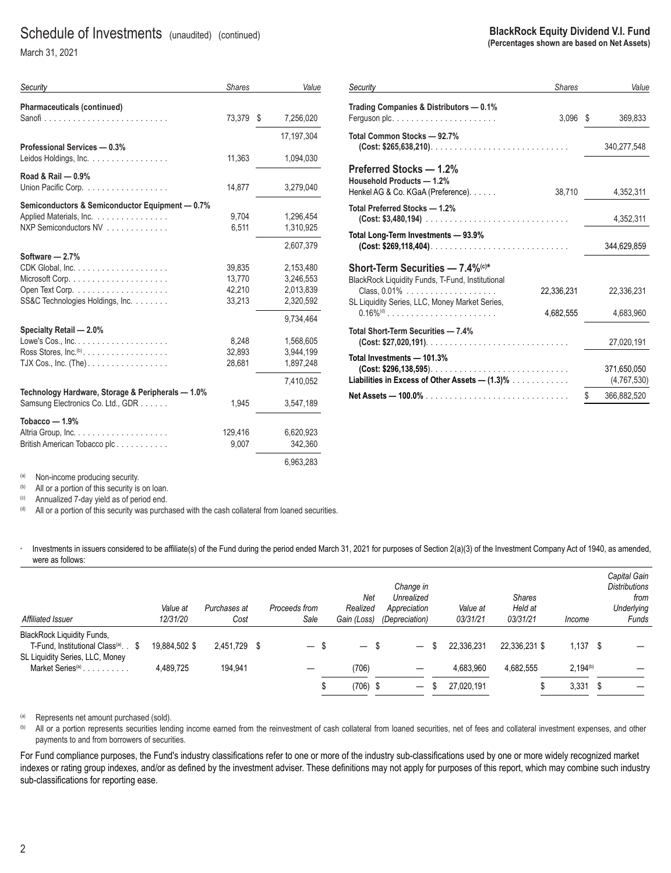### Schedule of Investments (unaudited) (continued)

March 31, 2021

| Security                                               | <b>Shares</b> |   | Value      |
|--------------------------------------------------------|---------------|---|------------|
| Pharmaceuticals (continued)                            |               |   |            |
|                                                        | 73.379        | S | 7,256,020  |
|                                                        |               |   | 17.197.304 |
| Professional Services - 0.3%                           |               |   |            |
| Leidos Holdings, Inc. $\ldots$ , $\ldots$ , $\ldots$ , | 11,363        |   | 1,094,030  |
| Road & Rail $-0.9%$                                    |               |   |            |
| Union Pacific Corp.                                    | 14,877        |   | 3,279,040  |
| Semiconductors & Semiconductor Equipment - 0.7%        |               |   |            |
| Applied Materials, Inc.                                | 9,704         |   | 1.296.454  |
| NXP Semiconductors NV                                  | 6,511         |   | 1,310,925  |
|                                                        |               |   | 2,607,379  |
| Software - 2.7%                                        |               |   |            |
|                                                        | 39,835        |   | 2,153,480  |
|                                                        | 13.770        |   | 3,246,553  |
|                                                        | 42,210        |   | 2,013,839  |

Open Text Corp. ................... 42,210 2,013,839 SS&C Technologies Holdings, Inc. . . . . . . . . . . . . . . . 33,213 2,320,592

Lowe's Cos., Inc. ................... 8,248 1,568,605 Ross Stores, Inc.(b) .................. 32,893 3,944,199 TJX Cos., Inc. (The) ................. 28,681 1,897,248

Samsung Electronics Co. Ltd., GDR ...... 1,945 3,547,189

Altria Group, Inc. ................... 129,416 6,620,923

| Security                                                                                                        | <b>Shares</b> |    | Value                      |
|-----------------------------------------------------------------------------------------------------------------|---------------|----|----------------------------|
| Trading Companies & Distributors - 0.1%<br>Ferguson plc. $\ldots$ . $\ldots$ . $\ldots$ . $\ldots$ . $\ldots$ . | 3,096         | S  | 369,833                    |
| Total Common Stocks - 92.7%<br>$(Cost. $265,638,210)$                                                           |               |    | 340,277,548                |
| Preferred Stocks - 1.2%<br>Household Products - 1.2%<br>Henkel AG & Co. KGaA (Preference).                      | 38,710        |    | 4,352,311                  |
| Total Preferred Stocks - 1.2%                                                                                   |               |    | 4,352,311                  |
| Total Long-Term Investments - 93.9%<br>$(Cost: $269,118,404)$                                                   |               |    | 344,629,859                |
| <b>Short-Term Securities — 7.4%</b> <sup>(c)*</sup><br>BlackRock Liquidity Funds, T-Fund, Institutional         | 22,336,231    |    | 22,336,231                 |
| SL Liquidity Series, LLC, Money Market Series,                                                                  | 4,682,555     |    | 4,683,960                  |
| Total Short-Term Securities - 7.4%                                                                              |               |    | 27,020,191                 |
| Total Investments - 101.3%<br>$(Cost: $296, 138, 595)$<br>Liabilities in Excess of Other Assets $-$ (1.3)%      |               |    | 371,650,050<br>(4,767,530) |
|                                                                                                                 |               | \$ | 366,882,520                |

(a) Non-income producing security.

**Specialty Retail — 2.0%**

**Tobacco — 1.9%**

(b) All or a portion of this security is on loan.<br>
(c) Annualized 7-day yield as of period end.<br>
(d) All or a portion of this security was purch

British American Tobacco plc ............

**Technology Hardware, Storage & Peripherals — 1.0%**

All or a portion of this security was purchased with the cash collateral from loaned securities.

· Investments in issuers considered to be affiliate(s) of the Fund during the period ended March 31, 2021 for purposes of Section 2(a)(3) of the Investment Company Act of 1940, as amended, were as follows:

9,734,464

7,410,052

6,963,283

| Affiliated Issuer                                                                    | Value at<br>12/31/20 | Purchases at<br>Cost | Proceeds from<br>Sale                 | Net<br>Realized<br>Gain (Loss) | Change in<br>Unrealized<br>Appreciation<br>(Depreciation) | Value at<br>03/31/21 | <b>Shares</b><br>Held at<br>03/31/21 | Income        | Capital Gain<br><b>Distributions</b><br>from<br>Underlying<br>Funds |
|--------------------------------------------------------------------------------------|----------------------|----------------------|---------------------------------------|--------------------------------|-----------------------------------------------------------|----------------------|--------------------------------------|---------------|---------------------------------------------------------------------|
| <b>BlackRock Liquidity Funds,</b><br>T-Fund, Institutional Class <sup>(a)</sup> . \$ | 19.884.502 \$        | 2.451.729            | - \$<br>$\overbrace{\phantom{12333}}$ | $\overline{\phantom{m}}$       | $\overline{\phantom{0}}$                                  | 22.336.231           | 22.336.231 \$                        | 1,137<br>່ \$ |                                                                     |
| SL Liquidity Series, LLC, Money<br>Market Series <sup>(a)</sup>                      | 4.489.725            | 194,941              |                                       | (706)                          |                                                           | 4.683.960            | 4.682.555                            | $2.194^{(b)}$ |                                                                     |
|                                                                                      |                      |                      |                                       | $(706)$ \$                     |                                                           | 27,020,191           |                                      | 3,331<br>- \$ |                                                                     |

(a) Represents net amount purchased (sold).<br>(b) All or a portion represents securities leng

All or a portion represents securities lending income earned from the reinvestment of cash collateral from loaned securities, net of fees and collateral investment expenses, and other payments to and from borrowers of securities.

For Fund compliance purposes, the Fund's industry classifications refer to one or more of the industry sub-classifications used by one or more widely recognized market indexes or rating group indexes, and/or as defined by the investment adviser. These definitions may not apply for purposes of this report, which may combine such industry sub-classifications for reporting ease.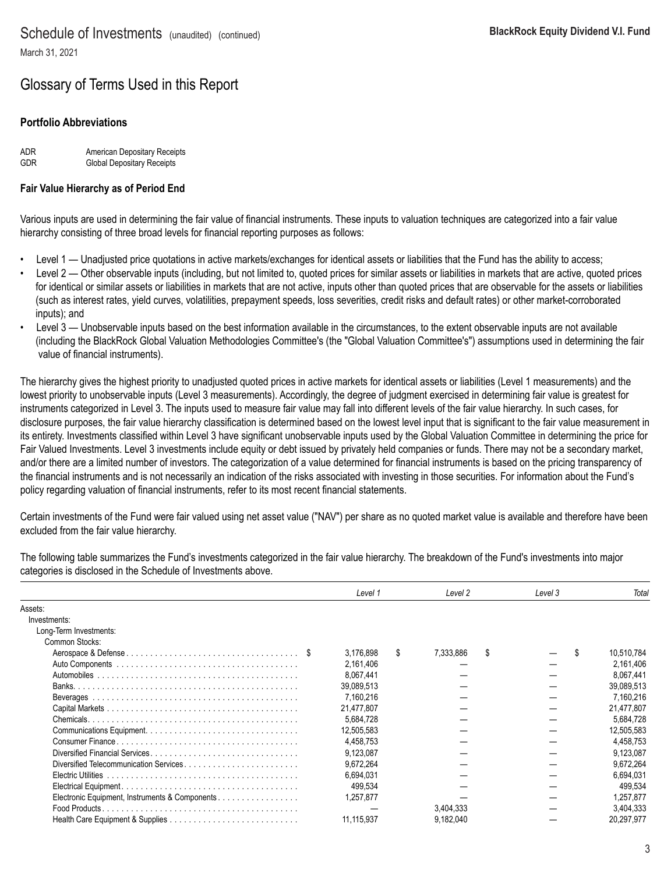## Glossary of Terms Used in this Report

### **Portfolio Abbreviations**

| ADR.       | American Depositary Receipts      |
|------------|-----------------------------------|
| <b>GDR</b> | <b>Global Depositary Receipts</b> |

#### **Fair Value Hierarchy as of Period End**

Various inputs are used in determining the fair value of financial instruments. These inputs to valuation techniques are categorized into a fair value hierarchy consisting of three broad levels for financial reporting purposes as follows:

- Level 1 Unadjusted price quotations in active markets/exchanges for identical assets or liabilities that the Fund has the ability to access;
- Level 2 Other observable inputs (including, but not limited to, quoted prices for similar assets or liabilities in markets that are active, quoted prices for identical or similar assets or liabilities in markets that are not active, inputs other than quoted prices that are observable for the assets or liabilities (such as interest rates, yield curves, volatilities, prepayment speeds, loss severities, credit risks and default rates) or other market-corroborated inputs); and
- Level 3 Unobservable inputs based on the best information available in the circumstances, to the extent observable inputs are not available (including the BlackRock Global Valuation Methodologies Committee's (the "Global Valuation Committee's") assumptions used in determining the fair value of financial instruments).

The hierarchy gives the highest priority to unadjusted quoted prices in active markets for identical assets or liabilities (Level 1 measurements) and the lowest priority to unobservable inputs (Level 3 measurements). Accordingly, the degree of judgment exercised in determining fair value is greatest for instruments categorized in Level 3. The inputs used to measure fair value may fall into different levels of the fair value hierarchy. In such cases, for disclosure purposes, the fair value hierarchy classification is determined based on the lowest level input that is significant to the fair value measurement in its entirety. Investments classified within Level 3 have significant unobservable inputs used by the Global Valuation Committee in determining the price for Fair Valued Investments. Level 3 investments include equity or debt issued by privately held companies or funds. There may not be a secondary market, and/or there are a limited number of investors. The categorization of a value determined for financial instruments is based on the pricing transparency of the financial instruments and is not necessarily an indication of the risks associated with investing in those securities. For information about the Fund's policy regarding valuation of financial instruments, refer to its most recent financial statements.

Certain investments of the Fund were fair valued using net asset value ("NAV") per share as no quoted market value is available and therefore have been excluded from the fair value hierarchy.

The following table summarizes the Fund's investments categorized in the fair value hierarchy. The breakdown of the Fund's investments into major categories is disclosed in the Schedule of Investments above.

|                                                | Level 1    |   | Level 2   | Level 3 | Total      |
|------------------------------------------------|------------|---|-----------|---------|------------|
| Assets:                                        |            |   |           |         |            |
| Investments:                                   |            |   |           |         |            |
| Long-Term Investments:                         |            |   |           |         |            |
| Common Stocks:                                 |            |   |           |         |            |
|                                                | 3.176.898  | S | 7.333.886 | S       | 10,510,784 |
|                                                | 2,161,406  |   |           |         | 2,161,406  |
|                                                | 8.067.441  |   |           |         | 8.067.441  |
|                                                | 39,089,513 |   |           |         | 39,089,513 |
|                                                | 7,160,216  |   |           |         | 7,160,216  |
|                                                | 21.477.807 |   |           |         | 21.477.807 |
|                                                | 5.684.728  |   |           |         | 5,684,728  |
|                                                | 12.505.583 |   |           |         | 12.505.583 |
|                                                | 4,458,753  |   |           |         | 4,458,753  |
|                                                | 9.123.087  |   |           |         | 9.123.087  |
| Diversified Telecommunication Services         | 9,672,264  |   |           |         | 9,672,264  |
|                                                | 6,694,031  |   |           |         | 6,694,031  |
|                                                | 499,534    |   |           |         | 499,534    |
| Electronic Equipment, Instruments & Components | 1,257,877  |   |           |         | 1.257.877  |
| Food Products.                                 |            |   | 3.404.333 |         | 3.404.333  |
|                                                | 11,115,937 |   | 9,182,040 |         | 20.297.977 |